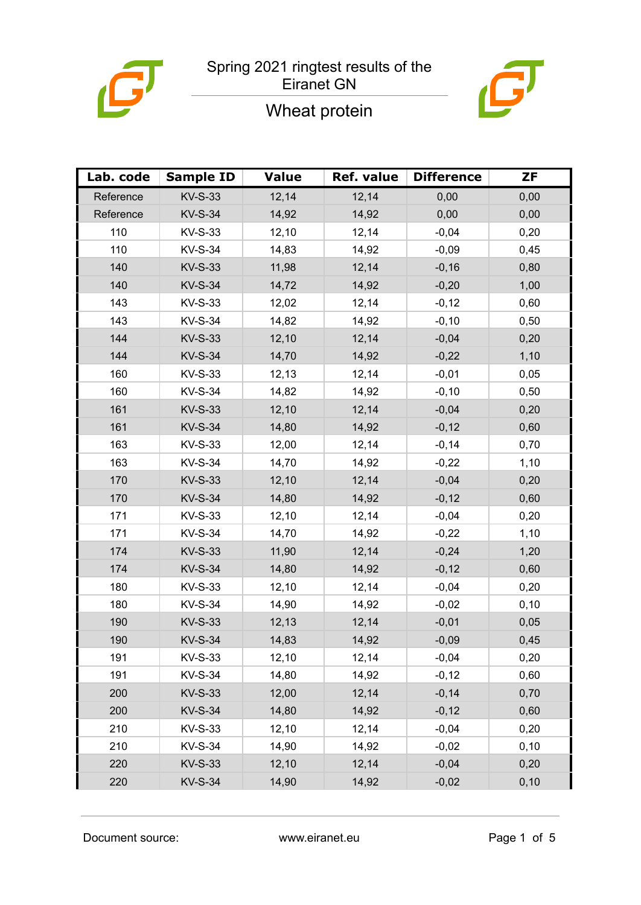

# $\mathbf{L}$

## Wheat protein

| Lab. code | <b>Sample ID</b> | <b>Value</b> | <b>Ref. value</b> | <b>Difference</b> | <b>ZF</b> |
|-----------|------------------|--------------|-------------------|-------------------|-----------|
| Reference | <b>KV-S-33</b>   | 12,14        | 12,14             | 0,00              | 0,00      |
| Reference | <b>KV-S-34</b>   | 14,92        | 14,92             | 0,00              | 0,00      |
| 110       | <b>KV-S-33</b>   | 12,10        | 12,14             | $-0,04$           | 0,20      |
| 110       | <b>KV-S-34</b>   | 14,83        | 14,92             | $-0,09$           | 0,45      |
| 140       | <b>KV-S-33</b>   | 11,98        | 12,14             | $-0,16$           | 0,80      |
| 140       | <b>KV-S-34</b>   | 14,72        | 14,92             | $-0,20$           | 1,00      |
| 143       | <b>KV-S-33</b>   | 12,02        | 12,14             | $-0,12$           | 0,60      |
| 143       | <b>KV-S-34</b>   | 14,82        | 14,92             | $-0,10$           | 0,50      |
| 144       | <b>KV-S-33</b>   | 12,10        | 12,14             | $-0,04$           | 0,20      |
| 144       | <b>KV-S-34</b>   | 14,70        | 14,92             | $-0,22$           | 1,10      |
| 160       | <b>KV-S-33</b>   | 12,13        | 12,14             | $-0,01$           | 0,05      |
| 160       | <b>KV-S-34</b>   | 14,82        | 14,92             | $-0,10$           | 0,50      |
| 161       | <b>KV-S-33</b>   | 12,10        | 12,14             | $-0,04$           | 0,20      |
| 161       | <b>KV-S-34</b>   | 14,80        | 14,92             | $-0,12$           | 0,60      |
| 163       | KV-S-33          | 12,00        | 12,14             | $-0,14$           | 0,70      |
| 163       | <b>KV-S-34</b>   | 14,70        | 14,92             | $-0,22$           | 1,10      |
| 170       | <b>KV-S-33</b>   | 12,10        | 12,14             | $-0,04$           | 0,20      |
| 170       | <b>KV-S-34</b>   | 14,80        | 14,92             | $-0,12$           | 0,60      |
| 171       | <b>KV-S-33</b>   | 12,10        | 12,14             | $-0,04$           | 0,20      |
| 171       | <b>KV-S-34</b>   | 14,70        | 14,92             | $-0,22$           | 1,10      |
| 174       | <b>KV-S-33</b>   | 11,90        | 12,14             | $-0,24$           | 1,20      |
| 174       | <b>KV-S-34</b>   | 14,80        | 14,92             | $-0,12$           | 0,60      |
| 180       | KV-S-33          | 12,10        | 12,14             | $-0,04$           | 0,20      |
| 180       | <b>KV-S-34</b>   | 14,90        | 14,92             | $-0,02$           | 0, 10     |
| 190       | <b>KV-S-33</b>   | 12,13        | 12,14             | $-0,01$           | 0,05      |
| 190       | <b>KV-S-34</b>   | 14,83        | 14,92             | $-0,09$           | 0,45      |
| 191       | KV-S-33          | 12,10        | 12,14             | $-0,04$           | 0,20      |
| 191       | <b>KV-S-34</b>   | 14,80        | 14,92             | $-0,12$           | 0,60      |
| 200       | <b>KV-S-33</b>   | 12,00        | 12,14             | $-0,14$           | 0,70      |
| 200       | <b>KV-S-34</b>   | 14,80        | 14,92             | $-0,12$           | 0,60      |
| 210       | <b>KV-S-33</b>   | 12,10        | 12,14             | $-0,04$           | 0,20      |
| 210       | <b>KV-S-34</b>   | 14,90        | 14,92             | $-0,02$           | 0, 10     |
| 220       | <b>KV-S-33</b>   | 12,10        | 12,14             | $-0,04$           | 0,20      |
| 220       | <b>KV-S-34</b>   | 14,90        | 14,92             | $-0,02$           | 0, 10     |

Document source: www.eiranet.eu Page 1 of 5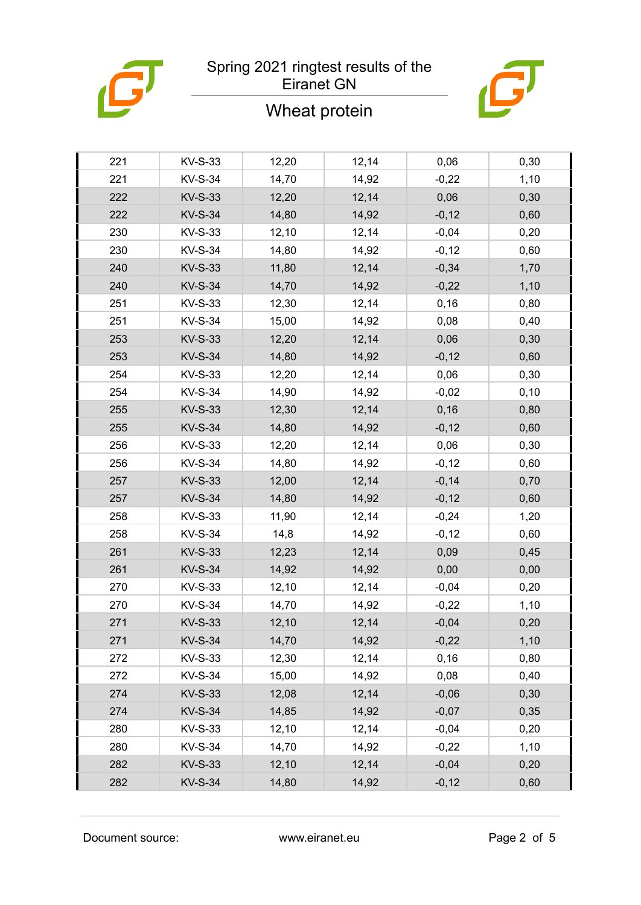

## Wheat protein



| 221 | <b>KV-S-33</b> | 12,20 | 12,14 | 0,06    | 0,30  |
|-----|----------------|-------|-------|---------|-------|
| 221 | <b>KV-S-34</b> | 14,70 | 14,92 | $-0,22$ | 1,10  |
| 222 | <b>KV-S-33</b> | 12,20 | 12,14 | 0,06    | 0,30  |
| 222 | <b>KV-S-34</b> | 14,80 | 14,92 | $-0,12$ | 0,60  |
| 230 | <b>KV-S-33</b> | 12,10 | 12,14 | $-0,04$ | 0,20  |
| 230 | <b>KV-S-34</b> | 14,80 | 14,92 | $-0,12$ | 0,60  |
| 240 | <b>KV-S-33</b> | 11,80 | 12,14 | $-0,34$ | 1,70  |
| 240 | <b>KV-S-34</b> | 14,70 | 14,92 | $-0,22$ | 1,10  |
| 251 | <b>KV-S-33</b> | 12,30 | 12,14 | 0,16    | 0,80  |
| 251 | <b>KV-S-34</b> | 15,00 | 14,92 | 0,08    | 0,40  |
| 253 | <b>KV-S-33</b> | 12,20 | 12,14 | 0,06    | 0,30  |
| 253 | <b>KV-S-34</b> | 14,80 | 14,92 | $-0,12$ | 0,60  |
| 254 | <b>KV-S-33</b> | 12,20 | 12,14 | 0,06    | 0,30  |
| 254 | <b>KV-S-34</b> | 14,90 | 14,92 | $-0,02$ | 0, 10 |
| 255 | <b>KV-S-33</b> | 12,30 | 12,14 | 0,16    | 0,80  |
| 255 | <b>KV-S-34</b> | 14,80 | 14,92 | $-0,12$ | 0,60  |
| 256 | <b>KV-S-33</b> | 12,20 | 12,14 | 0,06    | 0,30  |
| 256 | <b>KV-S-34</b> | 14,80 | 14,92 | $-0,12$ | 0,60  |
| 257 | <b>KV-S-33</b> | 12,00 | 12,14 | $-0,14$ | 0,70  |
| 257 | <b>KV-S-34</b> | 14,80 | 14,92 | $-0,12$ | 0,60  |
| 258 | <b>KV-S-33</b> | 11,90 | 12,14 | $-0,24$ | 1,20  |
| 258 | <b>KV-S-34</b> | 14,8  | 14,92 | $-0,12$ | 0,60  |
| 261 | <b>KV-S-33</b> | 12,23 | 12,14 | 0,09    | 0,45  |
| 261 | <b>KV-S-34</b> | 14,92 | 14,92 | 0,00    | 0,00  |
| 270 | <b>KV-S-33</b> | 12,10 | 12,14 | $-0,04$ | 0,20  |
| 270 | <b>KV-S-34</b> | 14,70 | 14,92 | $-0,22$ | 1,10  |
| 271 | <b>KV-S-33</b> | 12,10 | 12,14 | $-0,04$ | 0,20  |
| 271 | <b>KV-S-34</b> | 14,70 | 14,92 | $-0,22$ | 1,10  |
| 272 | <b>KV-S-33</b> | 12,30 | 12,14 | 0, 16   | 0,80  |
| 272 | <b>KV-S-34</b> | 15,00 | 14,92 | 0,08    | 0,40  |
| 274 | <b>KV-S-33</b> | 12,08 | 12,14 | $-0,06$ | 0,30  |
| 274 | <b>KV-S-34</b> | 14,85 | 14,92 | $-0,07$ | 0,35  |
| 280 | <b>KV-S-33</b> | 12,10 | 12,14 | $-0,04$ | 0,20  |
| 280 | <b>KV-S-34</b> | 14,70 | 14,92 | $-0,22$ | 1,10  |
| 282 | <b>KV-S-33</b> | 12,10 | 12,14 | $-0,04$ | 0,20  |
| 282 | <b>KV-S-34</b> | 14,80 | 14,92 | $-0,12$ | 0,60  |
|     |                |       |       |         |       |

Document source: www.eiranet.eu Page 2 of 5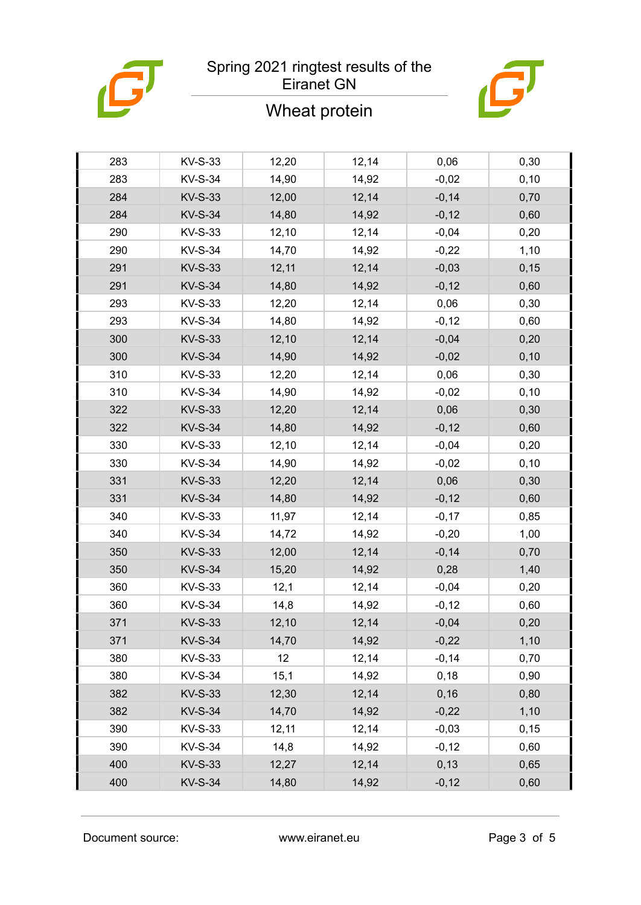

## Wheat protein



| 283 | KV-S-33        | 12,20 | 12,14 | 0,06    | 0,30  |
|-----|----------------|-------|-------|---------|-------|
| 283 | <b>KV-S-34</b> | 14,90 | 14,92 | $-0,02$ | 0, 10 |
| 284 | <b>KV-S-33</b> | 12,00 | 12,14 | $-0,14$ | 0,70  |
| 284 | <b>KV-S-34</b> | 14,80 | 14,92 | $-0,12$ | 0,60  |
| 290 | <b>KV-S-33</b> | 12,10 | 12,14 | $-0,04$ | 0,20  |
| 290 | <b>KV-S-34</b> | 14,70 | 14,92 | $-0,22$ | 1,10  |
| 291 | <b>KV-S-33</b> | 12,11 | 12,14 | $-0,03$ | 0,15  |
| 291 | <b>KV-S-34</b> | 14,80 | 14,92 | $-0,12$ | 0,60  |
| 293 | <b>KV-S-33</b> | 12,20 | 12,14 | 0,06    | 0,30  |
| 293 | <b>KV-S-34</b> | 14,80 | 14,92 | $-0,12$ | 0,60  |
| 300 | <b>KV-S-33</b> | 12,10 | 12,14 | $-0,04$ | 0,20  |
| 300 | <b>KV-S-34</b> | 14,90 | 14,92 | $-0,02$ | 0, 10 |
| 310 | <b>KV-S-33</b> | 12,20 | 12,14 | 0,06    | 0,30  |
| 310 | <b>KV-S-34</b> | 14,90 | 14,92 | $-0,02$ | 0, 10 |
| 322 | <b>KV-S-33</b> | 12,20 | 12,14 | 0,06    | 0,30  |
| 322 | <b>KV-S-34</b> | 14,80 | 14,92 | $-0,12$ | 0,60  |
| 330 | <b>KV-S-33</b> | 12,10 | 12,14 | $-0,04$ | 0,20  |
| 330 | <b>KV-S-34</b> | 14,90 | 14,92 | $-0,02$ | 0, 10 |
| 331 | <b>KV-S-33</b> | 12,20 | 12,14 | 0,06    | 0,30  |
| 331 | <b>KV-S-34</b> | 14,80 | 14,92 | $-0,12$ | 0,60  |
| 340 | <b>KV-S-33</b> | 11,97 | 12,14 | $-0,17$ | 0,85  |
| 340 | <b>KV-S-34</b> | 14,72 | 14,92 | $-0,20$ | 1,00  |
| 350 | <b>KV-S-33</b> | 12,00 | 12,14 | $-0,14$ | 0,70  |
| 350 | <b>KV-S-34</b> | 15,20 | 14,92 | 0,28    | 1,40  |
| 360 | KV-S-33        | 12,1  | 12,14 | $-0,04$ | 0,20  |
| 360 | <b>KV-S-34</b> | 14,8  | 14,92 | $-0,12$ | 0,60  |
| 371 | <b>KV-S-33</b> | 12,10 | 12,14 | $-0,04$ | 0,20  |
| 371 | <b>KV-S-34</b> | 14,70 | 14,92 | $-0,22$ | 1,10  |
| 380 | KV-S-33        | 12    | 12,14 | $-0,14$ | 0,70  |
| 380 | <b>KV-S-34</b> | 15,1  | 14,92 | 0,18    | 0,90  |
| 382 | <b>KV-S-33</b> | 12,30 | 12,14 | 0, 16   | 0,80  |
| 382 | <b>KV-S-34</b> | 14,70 | 14,92 | $-0,22$ | 1,10  |
| 390 | KV-S-33        | 12,11 | 12,14 | $-0,03$ | 0,15  |
| 390 | <b>KV-S-34</b> | 14,8  | 14,92 | $-0,12$ | 0,60  |
| 400 | <b>KV-S-33</b> | 12,27 | 12,14 | 0, 13   | 0,65  |
| 400 | <b>KV-S-34</b> | 14,80 | 14,92 | $-0,12$ | 0,60  |
|     |                |       |       |         |       |

Document source: www.eiranet.eu Page 3 of 5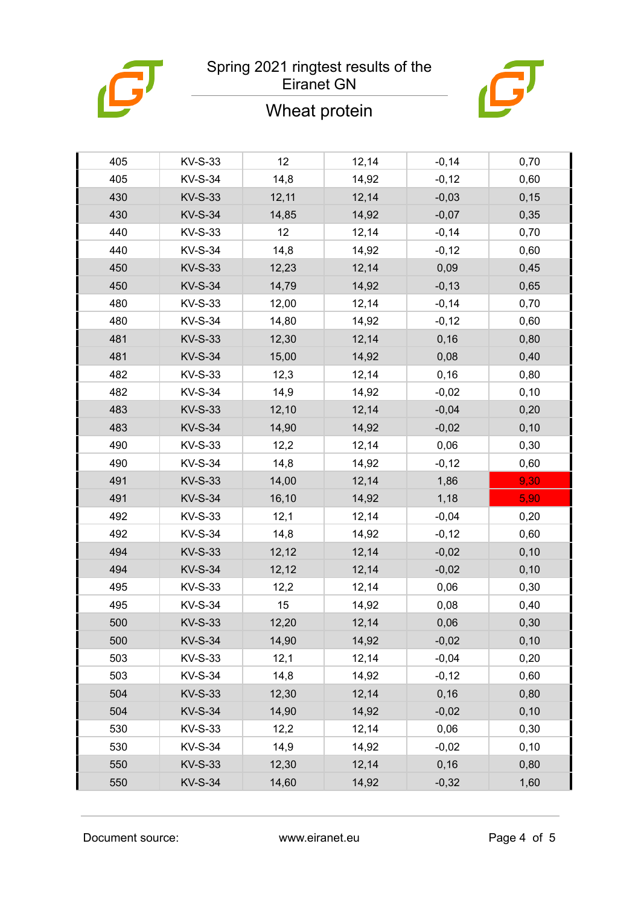

## Wheat protein



| 405 | <b>KV-S-33</b> | 12    | 12,14 | $-0,14$ | 0,70  |
|-----|----------------|-------|-------|---------|-------|
| 405 | <b>KV-S-34</b> | 14,8  | 14,92 | $-0,12$ | 0,60  |
| 430 | <b>KV-S-33</b> | 12,11 | 12,14 | $-0,03$ | 0, 15 |
| 430 | <b>KV-S-34</b> | 14,85 | 14,92 | $-0,07$ | 0,35  |
| 440 | <b>KV-S-33</b> | 12    | 12,14 | $-0,14$ | 0,70  |
| 440 | <b>KV-S-34</b> | 14,8  | 14,92 | $-0,12$ | 0,60  |
| 450 | <b>KV-S-33</b> | 12,23 | 12,14 | 0,09    | 0,45  |
| 450 | <b>KV-S-34</b> | 14,79 | 14,92 | $-0,13$ | 0,65  |
| 480 | <b>KV-S-33</b> | 12,00 | 12,14 | $-0,14$ | 0,70  |
| 480 | <b>KV-S-34</b> | 14,80 | 14,92 | $-0,12$ | 0,60  |
| 481 | <b>KV-S-33</b> | 12,30 | 12,14 | 0, 16   | 0,80  |
| 481 | <b>KV-S-34</b> | 15,00 | 14,92 | 0,08    | 0,40  |
| 482 | <b>KV-S-33</b> | 12,3  | 12,14 | 0,16    | 0,80  |
| 482 | <b>KV-S-34</b> | 14,9  | 14,92 | $-0,02$ | 0, 10 |
| 483 | <b>KV-S-33</b> | 12,10 | 12,14 | $-0,04$ | 0,20  |
| 483 | <b>KV-S-34</b> | 14,90 | 14,92 | $-0,02$ | 0, 10 |
| 490 | <b>KV-S-33</b> | 12,2  | 12,14 | 0,06    | 0,30  |
| 490 | <b>KV-S-34</b> | 14,8  | 14,92 | $-0,12$ | 0,60  |
| 491 | <b>KV-S-33</b> | 14,00 | 12,14 | 1,86    | 9,30  |
| 491 | <b>KV-S-34</b> | 16,10 | 14,92 | 1,18    | 5,90  |
| 492 | <b>KV-S-33</b> | 12,1  | 12,14 | $-0,04$ | 0,20  |
| 492 | <b>KV-S-34</b> | 14,8  | 14,92 | $-0,12$ | 0,60  |
| 494 | <b>KV-S-33</b> | 12,12 | 12,14 | $-0,02$ | 0, 10 |
| 494 | <b>KV-S-34</b> | 12,12 | 12,14 | $-0,02$ | 0, 10 |
| 495 | <b>KV-S-33</b> | 12,2  | 12,14 | 0,06    | 0,30  |
| 495 | <b>KV-S-34</b> | 15    | 14,92 | 0,08    | 0,40  |
| 500 | <b>KV-S-33</b> | 12,20 | 12,14 | 0,06    | 0,30  |
| 500 | <b>KV-S-34</b> | 14,90 | 14,92 | $-0,02$ | 0, 10 |
| 503 | KV-S-33        | 12,1  | 12,14 | $-0,04$ | 0,20  |
| 503 | <b>KV-S-34</b> | 14,8  | 14,92 | $-0,12$ | 0,60  |
| 504 | <b>KV-S-33</b> | 12,30 | 12,14 | 0, 16   | 0,80  |
| 504 | <b>KV-S-34</b> | 14,90 | 14,92 | $-0,02$ | 0, 10 |
| 530 | KV-S-33        | 12,2  | 12,14 | 0,06    | 0,30  |
| 530 | <b>KV-S-34</b> | 14,9  | 14,92 | $-0,02$ | 0, 10 |
| 550 | <b>KV-S-33</b> | 12,30 | 12,14 | 0, 16   | 0,80  |
| 550 | <b>KV-S-34</b> | 14,60 | 14,92 | $-0,32$ | 1,60  |
|     |                |       |       |         |       |

Document source: www.eiranet.eu Page 4 of 5